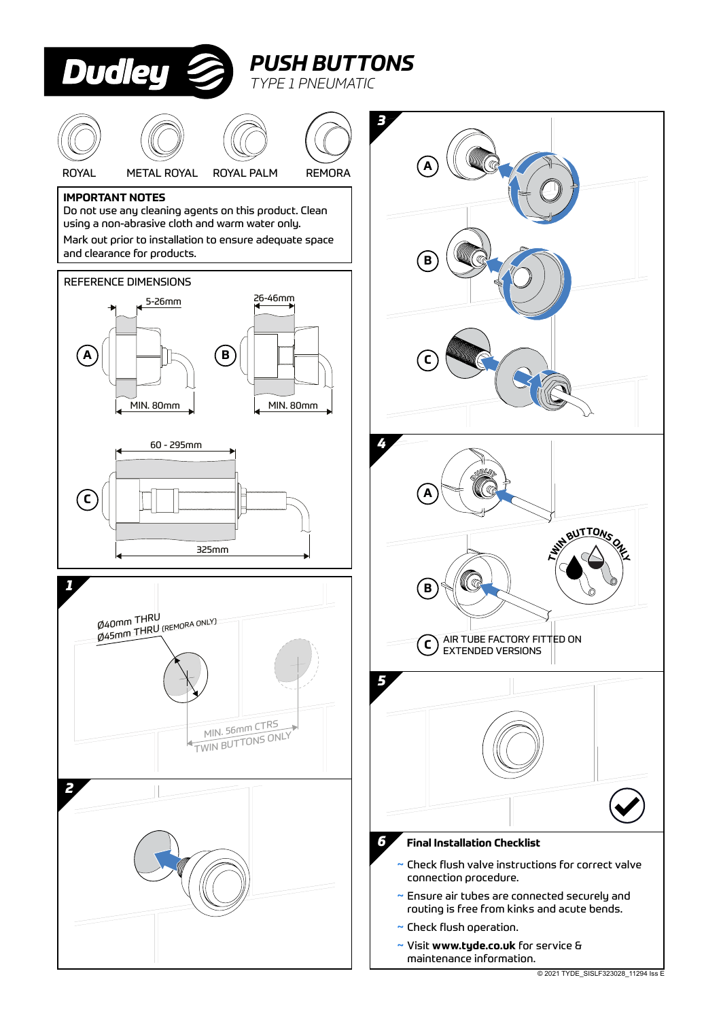